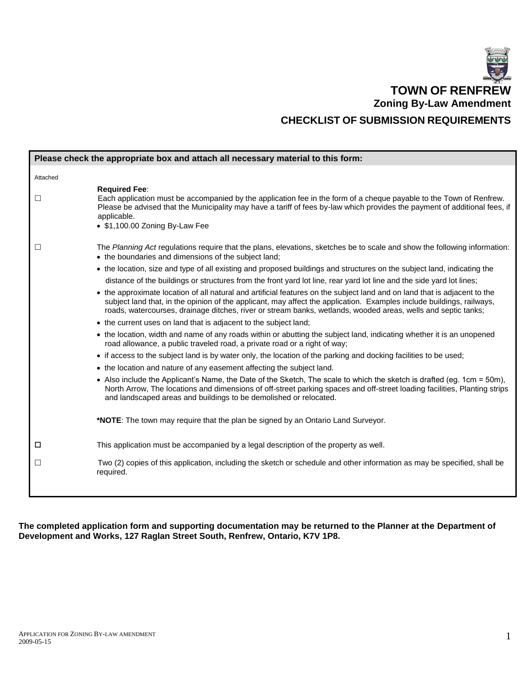

|          | Please check the appropriate box and attach all necessary material to this form:                                                                                                                                                                                                                                                                                    |
|----------|---------------------------------------------------------------------------------------------------------------------------------------------------------------------------------------------------------------------------------------------------------------------------------------------------------------------------------------------------------------------|
| Attached |                                                                                                                                                                                                                                                                                                                                                                     |
| □        | <b>Required Fee:</b><br>Each application must be accompanied by the application fee in the form of a cheque payable to the Town of Renfrew.<br>Please be advised that the Municipality may have a tariff of fees by-law which provides the payment of additional fees, if<br>applicable.<br>• \$1,100.00 Zoning By-Law Fee                                          |
| П        | The Planning Act regulations require that the plans, elevations, sketches be to scale and show the following information:<br>• the boundaries and dimensions of the subject land;                                                                                                                                                                                   |
|          | • the location, size and type of all existing and proposed buildings and structures on the subject land, indicating the<br>distance of the buildings or structures from the front yard lot line, rear yard lot line and the side yard lot lines;                                                                                                                    |
|          | • the approximate location of all natural and artificial features on the subject land and on land that is adjacent to the<br>subject land that, in the opinion of the applicant, may affect the application. Examples include buildings, railways,<br>roads, watercourses, drainage ditches, river or stream banks, wetlands, wooded areas, wells and septic tanks; |
|          | • the current uses on land that is adjacent to the subject land;                                                                                                                                                                                                                                                                                                    |
|          | • the location, width and name of any roads within or abutting the subject land, indicating whether it is an unopened<br>road allowance, a public traveled road, a private road or a right of way;                                                                                                                                                                  |
|          | • if access to the subject land is by water only, the location of the parking and docking facilities to be used;                                                                                                                                                                                                                                                    |
|          | • the location and nature of any easement affecting the subject land.                                                                                                                                                                                                                                                                                               |
|          | • Also include the Applicant's Name, the Date of the Sketch, The scale to which the sketch is drafted (eg. 1cm = 50m),<br>North Arrow, The locations and dimensions of off-street parking spaces and off-street loading facilities, Planting strips<br>and landscaped areas and buildings to be demolished or relocated.                                            |
|          | *NOTE: The town may require that the plan be signed by an Ontario Land Surveyor.                                                                                                                                                                                                                                                                                    |
| □        | This application must be accompanied by a legal description of the property as well.                                                                                                                                                                                                                                                                                |
| □        | Two (2) copies of this application, including the sketch or schedule and other information as may be specified, shall be<br>required.                                                                                                                                                                                                                               |

**The completed application form and supporting documentation may be returned to the Planner at the Department of Development and Works, 127 Raglan Street South, Renfrew, Ontario, K7V 1P8.**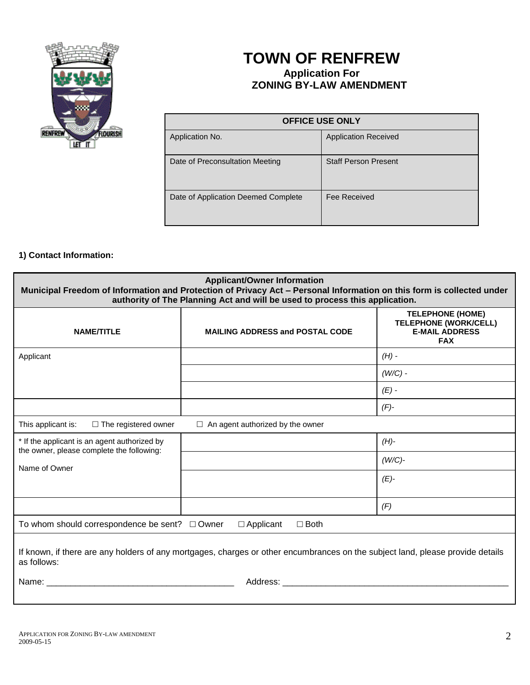

# **TOWN OF RENFREW Application For ZONING BY-LAW AMENDMENT**

| <b>OFFICE USE ONLY</b>              |                             |  |  |
|-------------------------------------|-----------------------------|--|--|
| Application No.                     | <b>Application Received</b> |  |  |
| Date of Preconsultation Meeting     | <b>Staff Person Present</b> |  |  |
| Date of Application Deemed Complete | Fee Received                |  |  |

## **1) Contact Information:**

| <b>Applicant/Owner Information</b><br>Municipal Freedom of Information and Protection of Privacy Act - Personal Information on this form is collected under<br>authority of The Planning Act and will be used to process this application. |                                         |                                                                                                |  |  |
|--------------------------------------------------------------------------------------------------------------------------------------------------------------------------------------------------------------------------------------------|-----------------------------------------|------------------------------------------------------------------------------------------------|--|--|
| <b>NAME/TITLE</b>                                                                                                                                                                                                                          | <b>MAILING ADDRESS and POSTAL CODE</b>  | <b>TELEPHONE (HOME)</b><br><b>TELEPHONE (WORK/CELL)</b><br><b>E-MAIL ADDRESS</b><br><b>FAX</b> |  |  |
| Applicant                                                                                                                                                                                                                                  |                                         | $(H)$ -                                                                                        |  |  |
|                                                                                                                                                                                                                                            |                                         | $(W/C)$ -                                                                                      |  |  |
|                                                                                                                                                                                                                                            |                                         | $(E)$ -                                                                                        |  |  |
|                                                                                                                                                                                                                                            |                                         | $(F)$ -                                                                                        |  |  |
| This applicant is:<br>$\Box$ The registered owner                                                                                                                                                                                          | $\Box$ An agent authorized by the owner |                                                                                                |  |  |
| * If the applicant is an agent authorized by<br>the owner, please complete the following:                                                                                                                                                  |                                         | $(H)$ -                                                                                        |  |  |
| Name of Owner                                                                                                                                                                                                                              |                                         | $(W/C)$ -                                                                                      |  |  |
|                                                                                                                                                                                                                                            |                                         | $(E)-$                                                                                         |  |  |
|                                                                                                                                                                                                                                            |                                         | (F)                                                                                            |  |  |
| To whom should correspondence be sent? $\Box$ Owner<br>$\square$ Both<br>$\Box$ Applicant                                                                                                                                                  |                                         |                                                                                                |  |  |
| If known, if there are any holders of any mortgages, charges or other encumbrances on the subject land, please provide details<br>as follows:                                                                                              |                                         |                                                                                                |  |  |
| Name: when the contract of the contract of the contract of the contract of the contract of the contract of the contract of the contract of the contract of the contract of the contract of the contract of the contract of the             |                                         |                                                                                                |  |  |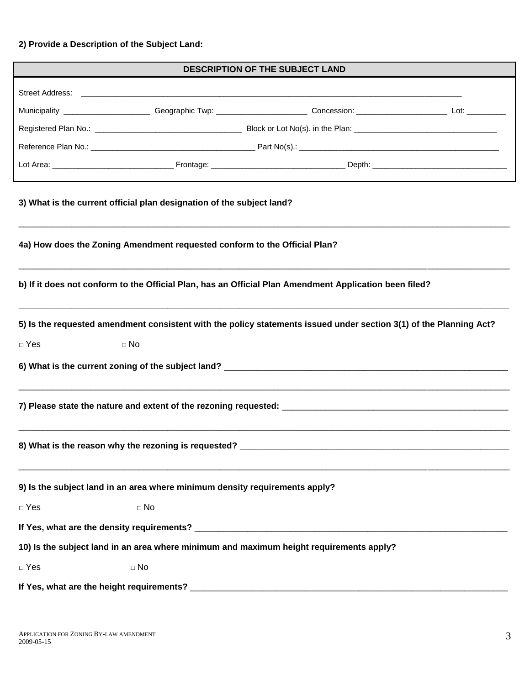# **2) Provide a Description of the Subject Land:**

|                                                                             |              | <b>DESCRIPTION OF THE SUBJECT LAND</b>                                                                             |  |
|-----------------------------------------------------------------------------|--------------|--------------------------------------------------------------------------------------------------------------------|--|
|                                                                             |              |                                                                                                                    |  |
|                                                                             |              |                                                                                                                    |  |
|                                                                             |              |                                                                                                                    |  |
|                                                                             |              |                                                                                                                    |  |
|                                                                             |              |                                                                                                                    |  |
| 3) What is the current official plan designation of the subject land?       |              |                                                                                                                    |  |
| 4a) How does the Zoning Amendment requested conform to the Official Plan?   |              |                                                                                                                    |  |
|                                                                             |              | b) If it does not conform to the Official Plan, has an Official Plan Amendment Application been filed?             |  |
|                                                                             |              | 5) Is the requested amendment consistent with the policy statements issued under section 3(1) of the Planning Act? |  |
| $\Box$ Yes<br>$\Box$ No                                                     |              |                                                                                                                    |  |
|                                                                             |              |                                                                                                                    |  |
|                                                                             |              |                                                                                                                    |  |
| 8) What is the reason why the rezoning is requested? _                      |              |                                                                                                                    |  |
| 9) Is the subject land in an area where minimum density requirements apply? |              |                                                                                                                    |  |
| $\Box$ Yes                                                                  | $\square$ No |                                                                                                                    |  |
|                                                                             |              |                                                                                                                    |  |
|                                                                             |              | 10) Is the subject land in an area where minimum and maximum height requirements apply?                            |  |
| $\Box$ Yes                                                                  | $\Box$ No    |                                                                                                                    |  |
|                                                                             |              |                                                                                                                    |  |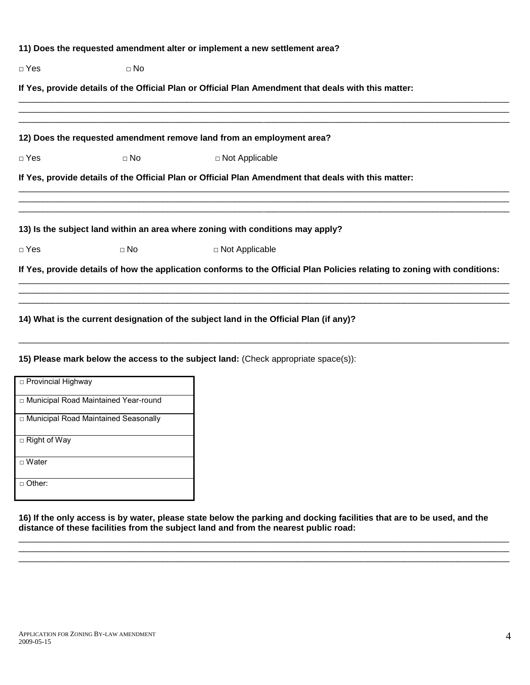|            |           | 11) Does the requested amendment alter or implement a new settlement area?                                                |
|------------|-----------|---------------------------------------------------------------------------------------------------------------------------|
| $\Box$ Yes | $\Box$ No |                                                                                                                           |
|            |           | If Yes, provide details of the Official Plan or Official Plan Amendment that deals with this matter:                      |
|            |           | 12) Does the requested amendment remove land from an employment area?                                                     |
| $\Box$ Yes | $\Box$ No | □ Not Applicable                                                                                                          |
|            |           | If Yes, provide details of the Official Plan or Official Plan Amendment that deals with this matter:                      |
|            |           | 13) Is the subject land within an area where zoning with conditions may apply?                                            |
| $\Box$ Yes | $\Box$ No | □ Not Applicable                                                                                                          |
|            |           | If Yes, provide details of how the application conforms to the Official Plan Policies relating to zoning with conditions: |
|            |           | 14) What is the current designation of the subject land in the Official Plan (if any)?                                    |

\_\_\_\_\_\_\_\_\_\_\_\_\_\_\_\_\_\_\_\_\_\_\_\_\_\_\_\_\_\_\_\_\_\_\_\_\_\_\_\_\_\_\_\_\_\_\_\_\_\_\_\_\_\_\_\_\_\_\_\_\_\_\_\_\_\_\_\_\_\_\_\_\_\_\_\_\_\_\_\_\_\_\_\_\_\_\_\_\_\_\_\_\_\_\_\_\_\_\_\_\_\_

### **15) Please mark below the access to the subject land:** (Check appropriate space(s)):

| □ Provincial Highway                   |
|----------------------------------------|
| □ Municipal Road Maintained Year-round |
| □ Municipal Road Maintained Seasonally |
| $\Box$ Right of Way                    |
| $\Box$ Water                           |
| Other:                                 |

**16) If the only access is by water, please state below the parking and docking facilities that are to be used, and the distance of these facilities from the subject land and from the nearest public road:**

\_\_\_\_\_\_\_\_\_\_\_\_\_\_\_\_\_\_\_\_\_\_\_\_\_\_\_\_\_\_\_\_\_\_\_\_\_\_\_\_\_\_\_\_\_\_\_\_\_\_\_\_\_\_\_\_\_\_\_\_\_\_\_\_\_\_\_\_\_\_\_\_\_\_\_\_\_\_\_\_\_\_\_\_\_\_\_\_\_\_\_\_\_\_\_\_\_\_\_\_\_\_ \_\_\_\_\_\_\_\_\_\_\_\_\_\_\_\_\_\_\_\_\_\_\_\_\_\_\_\_\_\_\_\_\_\_\_\_\_\_\_\_\_\_\_\_\_\_\_\_\_\_\_\_\_\_\_\_\_\_\_\_\_\_\_\_\_\_\_\_\_\_\_\_\_\_\_\_\_\_\_\_\_\_\_\_\_\_\_\_\_\_\_\_\_\_\_\_\_\_\_\_\_\_ \_\_\_\_\_\_\_\_\_\_\_\_\_\_\_\_\_\_\_\_\_\_\_\_\_\_\_\_\_\_\_\_\_\_\_\_\_\_\_\_\_\_\_\_\_\_\_\_\_\_\_\_\_\_\_\_\_\_\_\_\_\_\_\_\_\_\_\_\_\_\_\_\_\_\_\_\_\_\_\_\_\_\_\_\_\_\_\_\_\_\_\_\_\_\_\_\_\_\_\_\_\_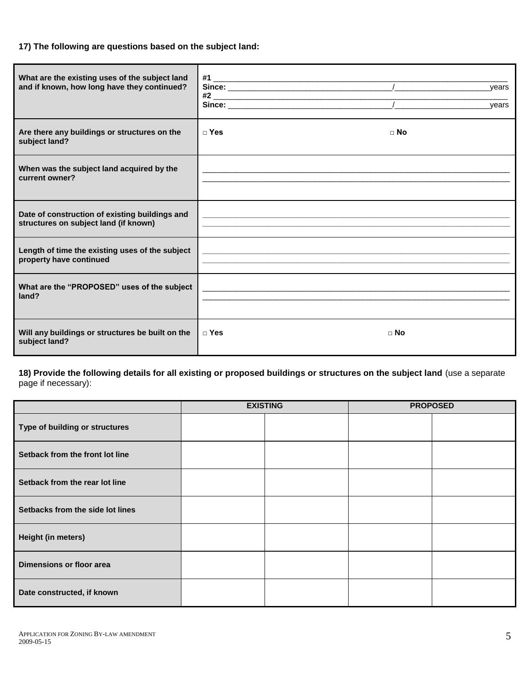#### **17) The following are questions based on the subject land:**

| What are the existing uses of the subject land<br>and if known, how long have they continued? |                                                             | years<br>years |
|-----------------------------------------------------------------------------------------------|-------------------------------------------------------------|----------------|
| Are there any buildings or structures on the<br>subject land?                                 | $\sqcap$ Yes                                                | $\sqcap$ No    |
| When was the subject land acquired by the<br>current owner?                                   | <u> 1989 - Johann Stoff, amerikansk politiker (d. 1989)</u> |                |
| Date of construction of existing buildings and<br>structures on subject land (if known)       | <u> 1989 - Johann Stoff, amerikansk politiker (* 1908)</u>  |                |
| Length of time the existing uses of the subject<br>property have continued                    | <u> 1989 - Johann Stoff, amerikansk politiker (* 1908)</u>  |                |
| What are the "PROPOSED" uses of the subject<br>land?                                          |                                                             |                |
| Will any buildings or structures be built on the<br>subject land?                             | $\sqcap$ Yes                                                | $\sqcap$ No    |

**18) Provide the following details for all existing or proposed buildings or structures on the subject land** (use a separate page if necessary):

|                                  | <b>EXISTING</b> |  | <b>PROPOSED</b> |
|----------------------------------|-----------------|--|-----------------|
| Type of building or structures   |                 |  |                 |
| Setback from the front lot line  |                 |  |                 |
| Setback from the rear lot line   |                 |  |                 |
| Setbacks from the side lot lines |                 |  |                 |
| Height (in meters)               |                 |  |                 |
| Dimensions or floor area         |                 |  |                 |
| Date constructed, if known       |                 |  |                 |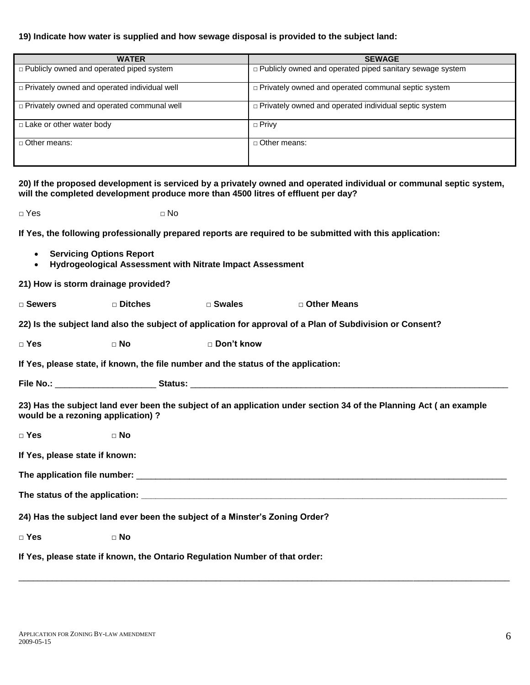#### **19) Indicate how water is supplied and how sewage disposal is provided to the subject land:**

| <b>WATER</b>                                                                                                                                                                                                                         | <b>SEWAGE</b>                                                   |
|--------------------------------------------------------------------------------------------------------------------------------------------------------------------------------------------------------------------------------------|-----------------------------------------------------------------|
| $\Box$ Publicly owned and operated piped system                                                                                                                                                                                      | $\Box$ Publicly owned and operated piped sanitary sewage system |
| $\Box$ Privately owned and operated individual well                                                                                                                                                                                  | □ Privately owned and operated communal septic system           |
| <b>Department Convertional Service Service Service Service Service Service Service Service Service Service Service Service Service Service Service Service Service Service Service Service Service Service Service Service Servi</b> | □ Privately owned and operated individual septic system         |
| $\Box$ Lake or other water body                                                                                                                                                                                                      | $\Box$ Privy                                                    |
| $\Box$ Other means:                                                                                                                                                                                                                  | $\Box$ Other means:                                             |

**20) If the proposed development is serviced by a privately owned and operated individual or communal septic system, will the completed development produce more than 4500 litres of effluent per day?**

**□** Yes **□** No

**If Yes, the following professionally prepared reports are required to be submitted with this application:**

- **Servicing Options Report**
- **Hydrogeological Assessment with Nitrate Impact Assessment**

**21) How is storm drainage provided?**

□ Sewers □ Ditches □ Swales □ Other Means

**22) Is the subject land also the subject of application for approval of a Plan of Subdivision or Consent?** 

□ **Yes** □ **No** □ **Don't know**

**If Yes, please state, if known, the file number and the status of the application:**

| <b>File No.:</b> | <b>Status:</b> |  |
|------------------|----------------|--|
|                  |                |  |

**23) Has the subject land ever been the subject of an application under section 34 of the Planning Act ( an example would be a rezoning application) ?**

□ **Yes** □ **No If Yes, please state if known: The application file number:** \_\_\_\_\_\_\_\_\_\_\_\_\_\_\_\_\_\_\_\_\_\_\_\_\_\_\_\_\_\_\_\_\_\_\_\_\_\_\_\_\_\_\_\_\_\_\_\_\_\_\_\_\_\_\_\_\_\_\_\_\_\_\_\_\_\_\_\_\_\_\_\_\_\_\_\_\_ The status of the application: **we are all the status of the application: 24) Has the subject land ever been the subject of a Minster's Zoning Order?**  □ **Yes** □ **No If Yes, please state if known, the Ontario Regulation Number of that order:**

\_\_\_\_\_\_\_\_\_\_\_\_\_\_\_\_\_\_\_\_\_\_\_\_\_\_\_\_\_\_\_\_\_\_\_\_\_\_\_\_\_\_\_\_\_\_\_\_\_\_\_\_\_\_\_\_\_\_\_\_\_\_\_\_\_\_\_\_\_\_\_\_\_\_\_\_\_\_\_\_\_\_\_\_\_\_\_\_\_\_\_\_\_\_\_\_\_\_\_\_\_\_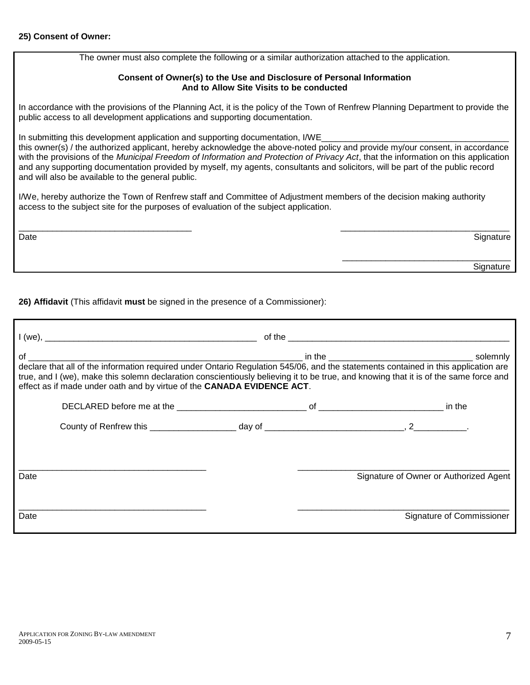The owner must also complete the following or a similar authorization attached to the application.

#### **Consent of Owner(s) to the Use and Disclosure of Personal Information And to Allow Site Visits to be conducted**

In accordance with the provisions of the Planning Act, it is the policy of the Town of Renfrew Planning Department to provide the public access to all development applications and supporting documentation.

In submitting this development application and supporting documentation, I/WE\_

this owner(s) / the authorized applicant, hereby acknowledge the above-noted policy and provide my/our consent, in accordance with the provisions of the *Municipal Freedom of Information and Protection of Privacy Act*, that the information on this application and any supporting documentation provided by myself, my agents, consultants and solicitors, will be part of the public record and will also be available to the general public.

I/We, hereby authorize the Town of Renfrew staff and Committee of Adjustment members of the decision making authority access to the subject site for the purposes of evaluation of the subject application.

| Date | Signature |
|------|-----------|
|      |           |
|      | Signature |
|      |           |

**26) Affidavit** (This affidavit **must** be signed in the presence of a Commissioner):

| true, and I (we), make this solemn declaration conscientiously believing it to be true, and knowing that it is of the same force and<br>effect as if made under oath and by virtue of the CANADA EVIDENCE ACT. |  |                                        |
|----------------------------------------------------------------------------------------------------------------------------------------------------------------------------------------------------------------|--|----------------------------------------|
|                                                                                                                                                                                                                |  |                                        |
|                                                                                                                                                                                                                |  |                                        |
|                                                                                                                                                                                                                |  |                                        |
| Date                                                                                                                                                                                                           |  | Signature of Owner or Authorized Agent |
|                                                                                                                                                                                                                |  |                                        |
| Date                                                                                                                                                                                                           |  | Signature of Commissioner              |